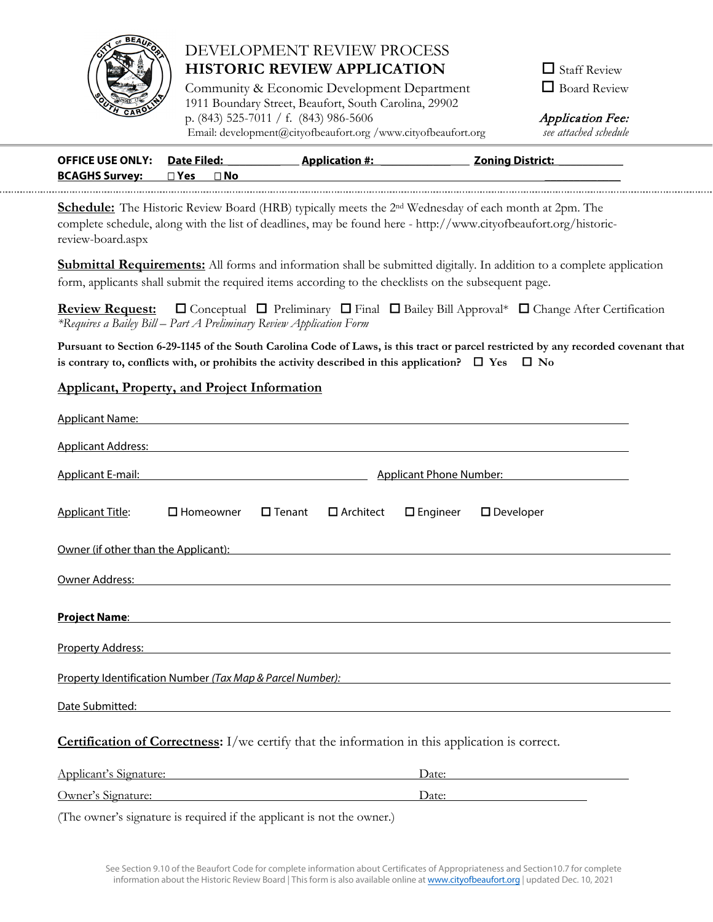

# DEVELOPMENT REVIEW PROCESS **HISTORIC REVIEW APPLICATION**

Community & Economic Development Department 1911 Boundary Street, Beaufort, South Carolina, 29902 p. (843) 525-7011 / f. (843) 986-5606 Email: [development](http://www.cityofbeaufort.org/)@cityofbeaufort.org /www.cityofbeaufort.org *see attached schedule*

 $\Box$  Staff Review Board Review

Application Fee:

| <b>BCAGHS Survey:</b><br>$\sqcap$ Yes<br>∃ No | <b>OFFICE USE ONLY: Date Filed:</b> |  | <b>Application #:</b> | <b>Zoning District:</b> |
|-----------------------------------------------|-------------------------------------|--|-----------------------|-------------------------|
|                                               |                                     |  |                       |                         |

**Schedule:** The Historic Review Board (HRB) typically meets the 2nd Wednesday of each month at 2pm. The complete schedule, along with the list of deadlines, may be found here - http://www.cityofbeaufort.org/historicreview-board.aspx

**Submittal Requirements:** All forms and information shall be submitted digitally. In addition to a complete application form, applicants shall submit the required items according to the checklists on the subsequent page.

**Review Request:** □ Conceptual □ Preliminary □ Final □ Bailey Bill Approval\* □ Change After Certification *\*Requires a Bailey Bill – Part A Preliminary Review Application Form*

**Pursuant to Section 6-29-1145 of the South Carolina Code of Laws, is this tract or parcel restricted by any recorded covenant that**  is contrary to, conflicts with, or prohibits the activity described in this application?  $\Box$  Yes  $\Box$  No

#### **Applicant, Property, and Project Information**

| Applicant Name: Name and Applicant Name and Applicant Name and Applicant Name and Applicant Name and Applicant                                                                                                                       |                                                                                                                      |                  |                  |                    |                     |  |
|--------------------------------------------------------------------------------------------------------------------------------------------------------------------------------------------------------------------------------------|----------------------------------------------------------------------------------------------------------------------|------------------|------------------|--------------------|---------------------|--|
| Applicant Address: North American State of the Association of the Association of the Association of the Association of the Association of the Association of the Association of the Association of the Association of the Asso       |                                                                                                                      |                  |                  |                    |                     |  |
|                                                                                                                                                                                                                                      | Applicant E-mail: National Applicant E-mail:<br>Applicant Phone Number:<br>Applicant Phone Number:                   |                  |                  |                    |                     |  |
| <b>Applicant Title:</b>                                                                                                                                                                                                              | $\square$ Homeowner                                                                                                  | $\square$ Tenant | $\Box$ Architect | $\square$ Engineer | $\square$ Developer |  |
| <u>Owner (if other than the Applicant): Network and the set of the set of the set of the set of the set of the set of the set of the set of the set of the set of the set of the set of the set of the set of the set of the set</u> |                                                                                                                      |                  |                  |                    |                     |  |
| Owner Address: National Address: National Address: National Address: National Address: National Address: National Address: National Address: National Address: National Address: National Address: National Address: National        |                                                                                                                      |                  |                  |                    |                     |  |
| Project Name: Name: Name and Allen Management of the Allen Management of the Allen Management of the Allen Man                                                                                                                       |                                                                                                                      |                  |                  |                    |                     |  |
| Property Address: North American State of the Address of the Address of the Address of the Address of the Address of the Address of the Address of the Address of the Address of the Address of the Address of the Address of        |                                                                                                                      |                  |                  |                    |                     |  |
| Property Identification Number (Tax Map & Parcel Number):<br>Superior Section 2014 12:00 Parcel Number (Tax Map & Parcel Number):                                                                                                    |                                                                                                                      |                  |                  |                    |                     |  |
| Date Submitted: We have a state of the state of the state of the state of the state of the state of the state of the state of the state of the state of the state of the state of the state of the state of the state of the s       |                                                                                                                      |                  |                  |                    |                     |  |
| <b>Certification of Correctness:</b> I/we certify that the information in this application is correct.                                                                                                                               |                                                                                                                      |                  |                  |                    |                     |  |
| Applicant's Signature:                                                                                                                                                                                                               | <u> 1989 - Jan Stein Stein Stein Stein Stein Stein Stein Stein Stein Stein Stein Stein Stein Stein Stein Stein S</u> |                  |                  | Date:              |                     |  |

(The owner's signature is required if the applicant is not the owner.)

Owner's Signature: Date: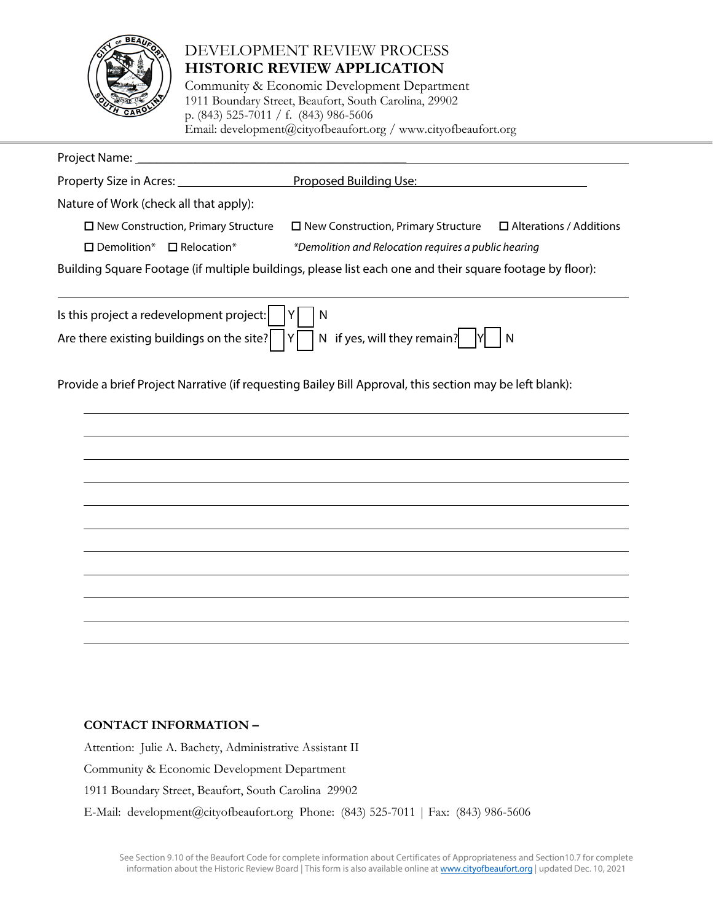

# DEVELOPMENT REVIEW PROCESS **HISTORIC REVIEW APPLICATION**

Community & Economic Development Department 1911 Boundary Street, Beaufort, South Carolina, 29902 p. (843) 525-7011 / f. (843) 986-5606 [Email: deve](http://www.cityofbeaufort.org/)lopment@cityofbeaufort.org / www.cityofbeaufort.org

| Project Name: |  |
|---------------|--|
|               |  |

| Property Size in Acres: | Proposed Building Use: |  |
|-------------------------|------------------------|--|
|                         |                        |  |

Nature of Work (check all that apply):

 $\Box$  New Construction, Primary Structure  $\Box$  New Construction, Primary Structure  $\Box$  Alterations / Additions

Demolition\* Relocation\* *\*Demolition and Relocation requires a public hearing*

Building Square Footage (if multiple buildings, please list each one and their square footage by floor):

| Is this project a redevelopment project: $\boxed{Y \boxed{N}}$                                |  |
|-----------------------------------------------------------------------------------------------|--|
| Are there existing buildings on the site? $\sqrt{Y}$ N if yes, will they remain? $\sqrt{Y}$ N |  |

Provide a brief Project Narrative (if requesting Bailey Bill Approval, this section may be left blank):



## **CONTACT INFORMATION –**

Attention: Julie A. Bachety, Administrative Assistant II Community & Economic Development Department 1911 Boundary Street, Beaufort, South Carolina 29902 E-Mail: [development@cityofbeaufort](mailto:jbachety@cityofbeaufort.org).org Phone: (843) 525-7011 | Fax: (843) 986-5606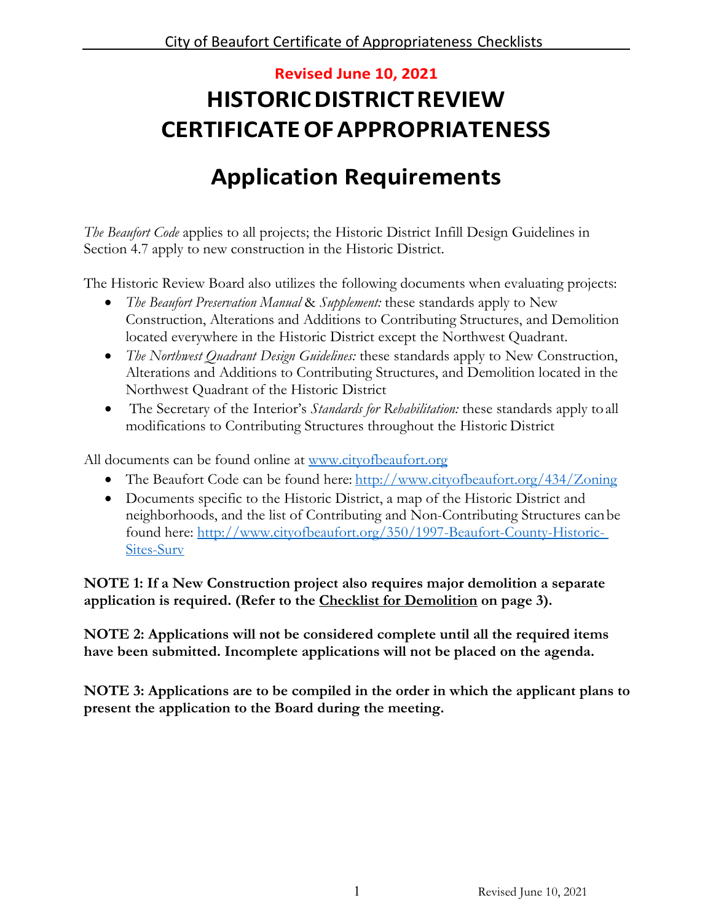# **Revised June 10, 2021 HISTORIC DISTRICT REVIEW CERTIFICATE OFAPPROPRIATENESS**

# **Application Requirements**

*The Beaufort Code* applies to all projects; the Historic District Infill Design Guidelines in Section 4.7 apply to new construction in the Historic District.

The Historic Review Board also utilizes the following documents when evaluating projects:

- *The Beaufort Preservation Manual* & *Supplement:* these standards apply to New Construction, Alterations and Additions to Contributing Structures, and Demolition located everywhere in the Historic District except the Northwest Quadrant.
- *The Northwest Quadrant Design Guidelines:* these standards apply to New Construction, Alterations and Additions to Contributing Structures, and Demolition located in the Northwest Quadrant of the Historic District
- The Secretary of the Interior's *Standards for Rehabilitation:* these standards apply toall modifications to Contributing Structures throughout the Historic District

All documents can be found online at [www.cityofbeaufort.org](http://www.cityofbeaufort.org/)

- The Beaufort Code can be found here: <http://www.cityofbeaufort.org/434/Zoning>
- Documents specific to the Historic District, a map of the Historic District and neighborhoods, and the list of Contributing and Non-Contributing Structures can be found here: [http://www.cityofbeaufort.org/350/1997-Beaufort-County-Historic-](http://www.cityofbeaufort.org/350/1997-Beaufort-County-Historic-Sites-Surv)[Sites-Surv](http://www.cityofbeaufort.org/350/1997-Beaufort-County-Historic-Sites-Surv)

**NOTE 1: If a New Construction project also requires major demolition a separate application is required. (Refer to the Checklist for Demolition on page 3).**

**NOTE 2: Applications will not be considered complete until all the required items have been submitted. Incomplete applications will not be placed on the agenda.**

**NOTE 3: Applications are to be compiled in the order in which the applicant plans to present the application to the Board during the meeting.**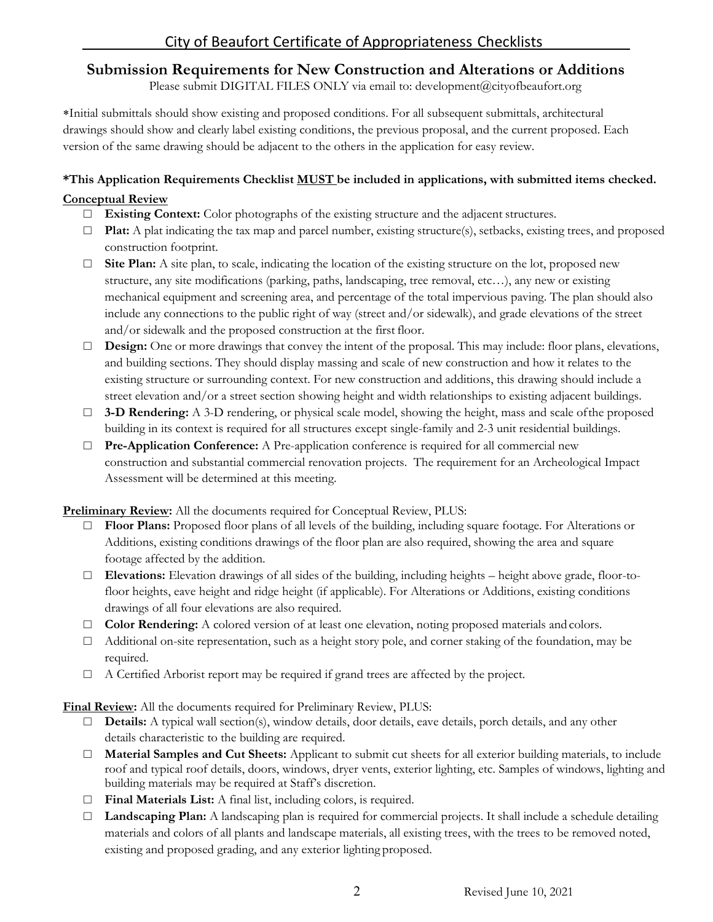# **Submission Requirements for New Construction and Alterations or Additions**

Please submit DIGITAL FILES ONLY via email to: [development@cityofbeaufort.o](mailto:jbachety@cityofbeaufort.org)rg

∗Initial submittals should show existing and proposed conditions. For all subsequent submittals, architectural drawings should show and clearly label existing conditions, the previous proposal, and the current proposed. Each version of the same drawing should be adjacent to the others in the application for easy review.

## **\*This Application Requirements Checklist MUST be included in applications, with submitted items checked.**

## **Conceptual Review**

- □ **Existing Context:** Color photographs of the existing structure and the adjacent structures.
- □ **Plat:** A plat indicating the tax map and parcel number, existing structure(s), setbacks, existing trees, and proposed construction footprint.
- $\Box$  **Site Plan:** A site plan, to scale, indicating the location of the existing structure on the lot, proposed new structure, any site modifications (parking, paths, landscaping, tree removal, etc…), any new or existing mechanical equipment and screening area, and percentage of the total impervious paving. The plan should also include any connections to the public right of way (street and/or sidewalk), and grade elevations of the street and/or sidewalk and the proposed construction at the first floor.
- □ **Design:** One or more drawings that convey the intent of the proposal. This may include: floor plans, elevations, and building sections. They should display massing and scale of new construction and how it relates to the existing structure or surrounding context. For new construction and additions, this drawing should include a street elevation and/or a street section showing height and width relationships to existing adjacent buildings.
- □ **3-D Rendering:** A 3-D rendering, or physical scale model, showing the height, mass and scale of the proposed building in its context is required for all structures except single-family and 2-3 unit residential buildings.
- □ **Pre-Application Conference:** A Pre-application conference is required for all commercial new construction and substantial commercial renovation projects. The requirement for an Archeological Impact Assessment will be determined at this meeting.

**Preliminary Review:** All the documents required for Conceptual Review, PLUS:

- Floor Plans: Proposed floor plans of all levels of the building, including square footage. For Alterations or Additions, existing conditions drawings of the floor plan are also required, showing the area and square footage affected by the addition.
- □ **Elevations:** Elevation drawings of all sides of the building, including heights height above grade, floor-tofloor heights, eave height and ridge height (if applicable). For Alterations or Additions, existing conditions drawings of all four elevations are also required.
- □ **Color Rendering:** A colored version of at least one elevation, noting proposed materials and colors.
- $\Box$  Additional on-site representation, such as a height story pole, and corner staking of the foundation, may be required.
- $\Box$  A Certified Arborist report may be required if grand trees are affected by the project.

**Final Review:** All the documents required for Preliminary Review, PLUS:

- □ **Details:** A typical wall section(s), window details, door details, eave details, porch details, and any other details characteristic to the building are required.
- □ **Material Samples and Cut Sheets:** Applicant to submit cut sheets for all exterior building materials, to include roof and typical roof details, doors, windows, dryer vents, exterior lighting, etc. Samples of windows, lighting and building materials may be required at Staff's discretion.
- □ **Final Materials List:** A final list, including colors, is required.
- □ **Landscaping Plan:** A landscaping plan is required for commercial projects. It shall include a schedule detailing materials and colors of all plants and landscape materials, all existing trees, with the trees to be removed noted, existing and proposed grading, and any exterior lighting proposed.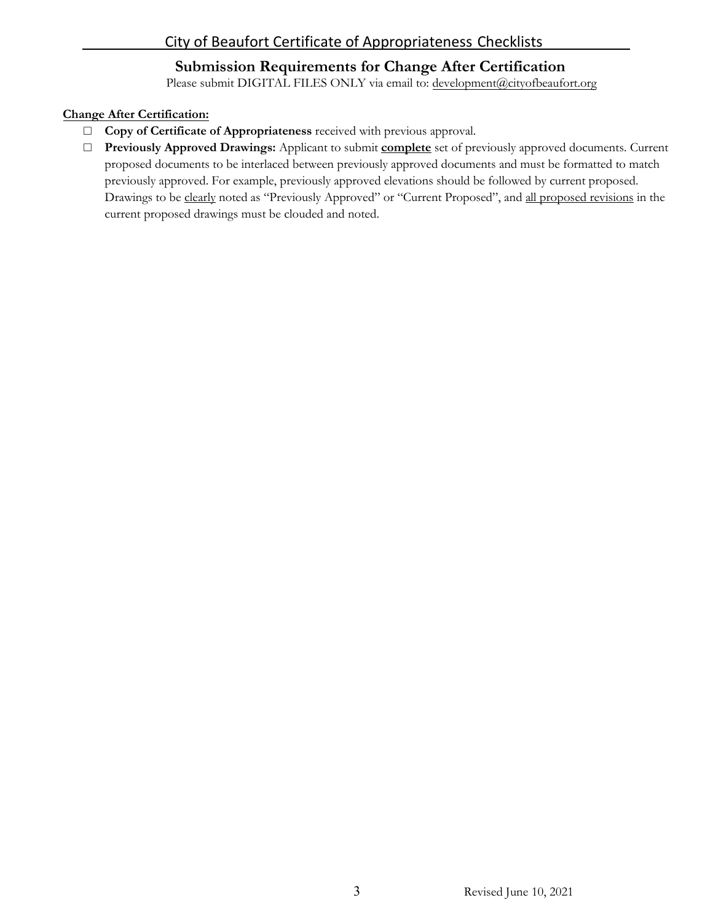## **Submission Requirements for Change After Certification**

Please submit DIGITAL FILES ONLY via email to: [development@cityofbeaufort](mailto:jbachety@cityofbeaufort.org).org

#### **Change After Certification:**

- □ **Copy of Certificate of Appropriateness** received with previous approval.
- □ **Previously Approved Drawings:** Applicant to submit **complete** set of previously approved documents. Current proposed documents to be interlaced between previously approved documents and must be formatted to match previously approved. For example, previously approved elevations should be followed by current proposed. Drawings to be clearly noted as "Previously Approved" or "Current Proposed", and all proposed revisions in the current proposed drawings must be clouded and noted.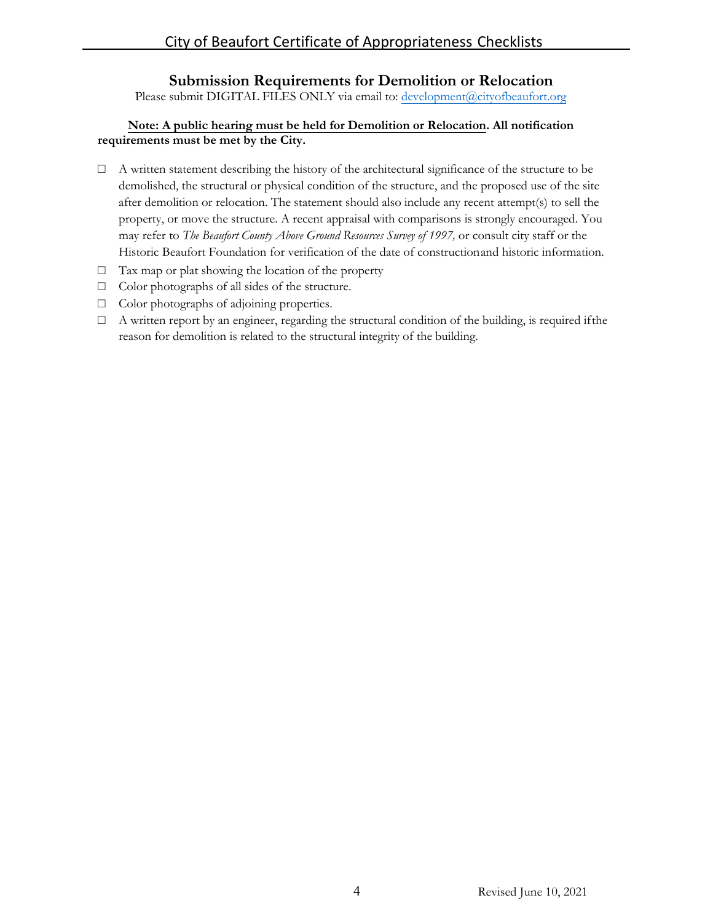## **Submission Requirements for Demolition or Relocation**

Please submit DIGITAL FILES ONLY via email to: development@cityofbeaufort.org

#### **Note: A public hearing must be held for Demolition or Relocation. All notification requirements must be met by the City.**

- $\Box$  A written statement describing the history of the architectural significance of the structure to be demolished, the structural or physical condition of the structure, and the proposed use of the site after demolition or relocation. The statement should also include any recent attempt(s) to sell the property, or move the structure. A recent appraisal with comparisons is strongly encouraged. You may refer to *The Beaufort County Above Ground Resources Survey of 1997,* or consult city staff or the Historic Beaufort Foundation for verification of the date of constructionand historic information.
- $\Box$  Tax map or plat showing the location of the property
- □ Color photographs of all sides of the structure.
- □ Color photographs of adjoining properties.
- □ A written report by an engineer, regarding the structural condition of the building, is required if the reason for demolition is related to the structural integrity of the building.